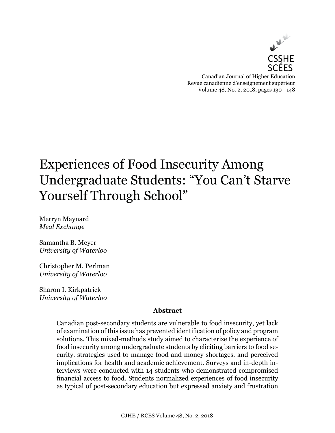

# Experiences of Food Insecurity Among Undergraduate Students: "You Can't Starve Yourself Through School"

Merryn Maynard *Meal Exchange*

Samantha B. Meyer *University of Waterloo*

Christopher M. Perlman *University of Waterloo*

Sharon I. Kirkpatrick *University of Waterloo*

#### **Abstract**

Canadian post-secondary students are vulnerable to food insecurity, yet lack of examination of this issue has prevented identification of policy and program solutions. This mixed-methods study aimed to characterize the experience of food insecurity among undergraduate students by eliciting barriers to food security, strategies used to manage food and money shortages, and perceived implications for health and academic achievement. Surveys and in-depth interviews were conducted with 14 students who demonstrated compromised financial access to food. Students normalized experiences of food insecurity as typical of post-secondary education but expressed anxiety and frustration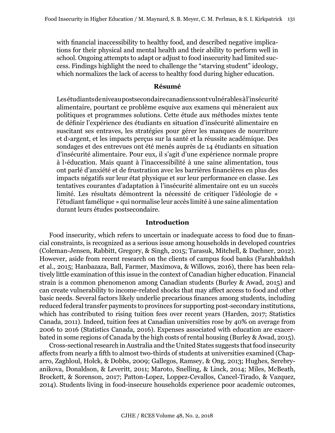with financial inaccessibility to healthy food, and described negative implications for their physical and mental health and their ability to perform well in school. Ongoing attempts to adapt or adjust to food insecurity had limited success. Findings highlight the need to challenge the "starving student" ideology, which normalizes the lack of access to healthy food during higher education.

#### **Résumé**

Les étudiants de niveau postsecondaire canadiens sont vulnérables à l'insécurité alimentaire, pourtant ce problème esquive aux examens qui mèneraient aux politiques et programmes solutions. Cette étude aux méthodes mixtes tente de définir l'expérience des étudiants en situation d'insécurité alimentaire en suscitant ses entraves, les stratégies pour gérer les manques de nourriture et d›argent, et les impacts perçus sur la santé et la réussite académique. Des sondages et des entrevues ont été menés auprès de 14 étudiants en situation d'insécurité alimentaire. Pour eux, il s'agit d'une expérience normale propre à l›éducation. Mais quant à l'inaccessibilité à une saine alimentation, tous ont parlé d'anxiété et de frustration avec les barrières financières en plus des impacts négatifs sur leur état physique et sur leur performance en classe. Les tentatives courantes d'adaptation à l'insécurité alimentaire ont eu un succès limité. Les résultats démontrent la nécessité de critiquer l'idéologie de « l'étudiant famélique » qui normalise leur accès limité à une saine alimentation durant leurs études postsecondaire.

#### **Introduction**

Food insecurity, which refers to uncertain or inadequate access to food due to financial constraints, is recognized as a serious issue among households in developed countries (Coleman-Jensen, Rabbitt, Gregory, & Singh, 2015; Tarasuk, Mitchell, & Dachner, 2012). However, aside from recent research on the clients of campus food banks (Farahbakhsh et al., 2015; Hanbazaza, Ball, Farmer, Maximova, & Willows, 2016), there has been relatively little examination of this issue in the context of Canadian higher education. Financial strain is a common phenomenon among Canadian students (Burley & Awad, 2015) and can create vulnerability to income-related shocks that may affect access to food and other basic needs. Several factors likely underlie precarious finances among students, including reduced federal transfer payments to provinces for supporting post-secondary institutions, which has contributed to rising tuition fees over recent years (Harden, 2017; Statistics Canada, 2011). Indeed, tuition fees at Canadian universities rose by 40% on average from 2006 to 2016 (Statistics Canada, 2016). Expenses associated with education are exacerbated in some regions of Canada by the high costs of rental housing (Burley & Awad, 2015).

Cross-sectional research in Australia and the United States suggests that food insecurity affects from nearly a fifth to almost two-thirds of students at universities examined (Chaparro, Zaghloul, Holck, & Dobbs, 2009; Gallegos, Ramsey, & Ong, 2013; Hughes, Serebryanikova, Donaldson, & Leveritt, 2011; Maroto, Snelling, & Linck, 2014; Miles, McBeath, Brockett, & Sorenson, 2017; Patton-Lopez, Loppez-Cevallos, Cancel-Tirado, & Vazquez, 2014). Students living in food-insecure households experience poor academic outcomes,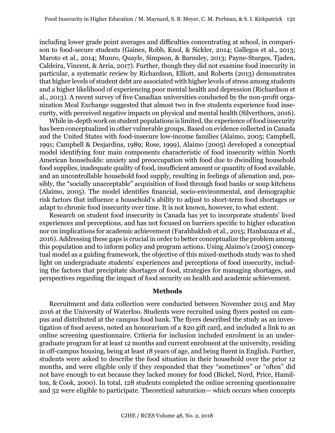including lower grade point averages and difficulties concentrating at school, in comparison to food-secure students (Gaines, Robb, Knol, & Sickler, 2014; Gallegos et al., 2013; Maroto et al., 2014; Munro, Quayle, Simpson, & Barnsley, 2013; Payne-Sturges, Tjaden, Caldeira, Vincent, & Arria, 2017). Further, though they did not examine food insecurity in particular, a systematic review by Richardson, Elliott, and Roberts (2013) demonstrates that higher levels of student debt are associated with higher levels of stress among students and a higher likelihood of experiencing poor mental health and depression (Richardson et al., 2013). A recent survey of five Canadian universities conducted by the non-profit organization Meal Exchange suggested that almost two in five students experience food insecurity, with perceived negative impacts on physical and mental health (Silverthorn, 2016).

While in-depth work on student populations is limited, the experience of food insecurity has been conceptualized in other vulnerable groups. Based on evidence collected in Canada and the United States with food-insecure low-income families (Alaimo, 2005; Campbell, 1991; Campbell & Desjardins, 1989; Rose, 1999), Alaimo (2005) developed a conceptual model identifying four main components characteristic of food insecurity within North American households: anxiety and preoccupation with food due to dwindling household food supplies, inadequate quality of food, insufficient amount or quantity of food available, and an uncontrollable household food supply, resulting in feelings of alienation and, possibly, the "socially unacceptable" acquisition of food through food banks or soup kitchens (Alaimo, 2005). The model identifies financial, socio-environmental, and demographic risk factors that influence a household's ability to adjust to short-term food shortages or adapt to chronic food insecurity over time. It is not known, however, to what extent.

Research on student food insecurity in Canada has yet to incorporate students' lived experiences and perceptions, and has not focused on barriers specific to higher education nor on implications for academic achievement (Farahbakhsh et al., 2015; Hanbazaza et al., 2016). Addressing these gaps is crucial in order to better conceptualize the problem among this population and to inform policy and program actions. Using Alaimo's (2005) conceptual model as a guiding framework, the objective of this mixed-methods study was to shed light on undergraduate students' experiences and perceptions of food insecurity, including the factors that precipitate shortages of food, strategies for managing shortages, and perspectives regarding the impact of food security on health and academic achievement.

#### **Methods**

Recruitment and data collection were conducted between November 2015 and May 2016 at the University of Waterloo. Students were recruited using flyers posted on campus and distributed at the campus food bank. The flyers described the study as an investigation of food access, noted an honorarium of a \$20 gift card, and included a link to an online screening questionnaire. Criteria for inclusion included enrolment in an undergraduate program for at least 12 months and current enrolment at the university, residing in off-campus housing, being at least 18 years of age, and being fluent in English. Further, students were asked to describe the food situation in their household over the prior 12 months, and were eligible only if they responded that they "sometimes" or "often" did not have enough to eat because they lacked money for food (Bickel, Nord, Price, Hamilton, & Cook, 2000). In total, 128 students completed the online screening questionnaire and 52 were eligible to participate. Theoretical saturation— which occurs when concepts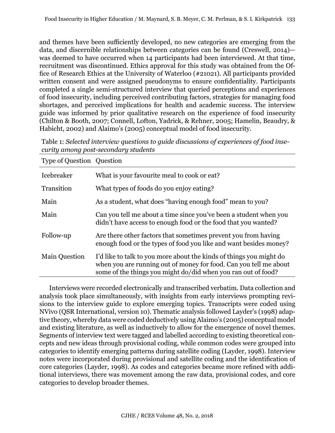and themes have been sufficiently developed, no new categories are emerging from the data, and discernible relationships between categories can be found (Creswell, 2014) was deemed to have occurred when 14 participants had been interviewed. At that time, recruitment was discontinued. Ethics approval for this study was obtained from the Office of Research Ethics at the University of Waterloo (#21021). All participants provided written consent and were assigned pseudonyms to ensure confidentiality. Participants completed a single semi-structured interview that queried perceptions and experiences of food insecurity, including perceived contributing factors, strategies for managing food shortages, and perceived implications for health and academic success. The interview guide was informed by prior qualitative research on the experience of food insecurity (Chilton & Booth, 2007; Connell, Lofton, Yadrick, & Rehner, 2005; Hamelin, Beaudry, & Habicht, 2002) and Alaimo's (2005) conceptual model of food insecurity.

| Table 1: Selected interview questions to guide discussions of experiences of food inse- |  |
|-----------------------------------------------------------------------------------------|--|
| curity among post-secondary students                                                    |  |

| Type of Question Question |                                                                                                                                                                                                           |
|---------------------------|-----------------------------------------------------------------------------------------------------------------------------------------------------------------------------------------------------------|
| <b>Icebreaker</b>         | What is your favourite meal to cook or eat?                                                                                                                                                               |
| Transition                | What types of foods do you enjoy eating?                                                                                                                                                                  |
| Main                      | As a student, what does "having enough food" mean to you?                                                                                                                                                 |
| Main                      | Can you tell me about a time since you've been a student when you<br>didn't have access to enough food or the food that you wanted?                                                                       |
| Follow-up                 | Are there other factors that sometimes prevent you from having<br>enough food or the types of food you like and want besides money?                                                                       |
| <b>Main Question</b>      | I'd like to talk to you more about the kinds of things you might do<br>when you are running out of money for food. Can you tell me about<br>some of the things you might do/did when you ran out of food? |
|                           |                                                                                                                                                                                                           |

Interviews were recorded electronically and transcribed verbatim. Data collection and analysis took place simultaneously, with insights from early interviews prompting revisions to the interview guide to explore emerging topics. Transcripts were coded using NVivo (QSR International, version 10). Thematic analysis followed Layder's (1998) adaptive theory, whereby data were coded deductively using Alaimo's (2005) conceptual model and existing literature, as well as inductively to allow for the emergence of novel themes. Segments of interview text were tagged and labelled according to existing theoretical concepts and new ideas through provisional coding, while common codes were grouped into categories to identify emerging patterns during satellite coding (Layder, 1998). Interview notes were incorporated during provisional and satellite coding and the identification of core categories (Layder, 1998). As codes and categories became more refined with additional interviews, there was movement among the raw data, provisional codes, and core categories to develop broader themes.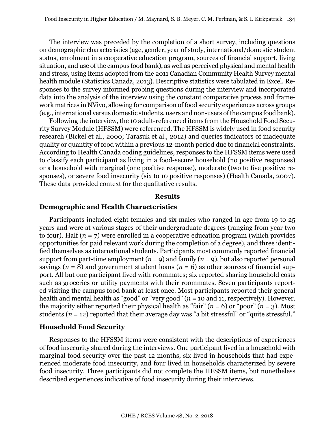The interview was preceded by the completion of a short survey, including questions on demographic characteristics (age, gender, year of study, international/domestic student status, enrolment in a cooperative education program, sources of financial support, living situation, and use of the campus food bank), as well as perceived physical and mental health and stress, using items adopted from the 2011 Canadian Community Health Survey mental health module (Statistics Canada, 2013). Descriptive statistics were tabulated in Excel. Responses to the survey informed probing questions during the interview and incorporated data into the analysis of the interview using the constant comparative process and framework matrices in NVivo, allowing for comparison of food security experiences across groups (e.g., international versus domestic students, users and non-users of the campus food bank).

Following the interview, the 10 adult-referenced items from the Household Food Security Survey Module (HFSSM) were referenced. The HFSSM is widely used in food security research (Bickel et al., 2000; Tarasuk et al., 2012) and queries indicators of inadequate quality or quantity of food within a previous 12-month period due to financial constraints. According to Health Canada coding guidelines, responses to the HFSSM items were used to classify each participant as living in a food-secure household (no positive responses) or a household with marginal (one positive response), moderate (two to five positive responses), or severe food insecurity (six to 10 positive responses) (Health Canada, 2007). These data provided context for the qualitative results.

#### **Results**

#### **Demographic and Health Characteristics**

Participants included eight females and six males who ranged in age from 19 to 25 years and were at various stages of their undergraduate degrees (ranging from year two to four). Half  $(n = 7)$  were enrolled in a cooperative education program (which provides opportunities for paid relevant work during the completion of a degree), and three identified themselves as international students. Participants most commonly reported financial support from part-time employment  $(n = 9)$  and family  $(n = 9)$ , but also reported personal savings ( $n = 8$ ) and government student loans ( $n = 6$ ) as other sources of financial support. All but one participant lived with roommates; six reported sharing household costs such as groceries or utility payments with their roommates. Seven participants reported visiting the campus food bank at least once. Most participants reported their general health and mental health as "good" or "very good" (*n* = 10 and 11, respectively). However, the majority either reported their physical health as "fair"  $(n = 6)$  or "poor"  $(n = 3)$ . Most students  $(n = 12)$  reported that their average day was "a bit stressful" or "quite stressful."

#### **Household Food Security**

Responses to the HFSSM items were consistent with the descriptions of experiences of food insecurity shared during the interviews. One participant lived in a household with marginal food security over the past 12 months, six lived in households that had experienced moderate food insecurity, and four lived in households characterized by severe food insecurity. Three participants did not complete the HFSSM items, but nonetheless described experiences indicative of food insecurity during their interviews.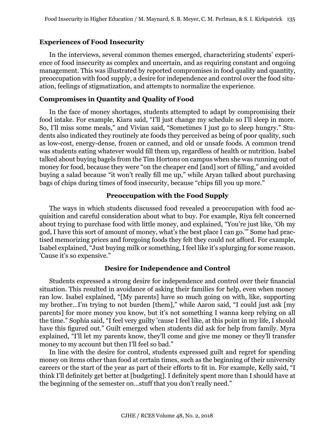# **Experiences of Food Insecurity**

In the interviews, several common themes emerged, characterizing students' experience of food insecurity as complex and uncertain, and as requiring constant and ongoing management. This was illustrated by reported compromises in food quality and quantity, preoccupation with food supply, a desire for independence and control over the food situation, feelings of stigmatization, and attempts to normalize the experience.

# **Compromises in Quantity and Quality of Food**

In the face of money shortages, students attempted to adapt by compromising their food intake. For example, Kiara said, "I'll just change my schedule so I'll sleep in more. So, I'll miss some meals," and Vivian said, "Sometimes I just go to sleep hungry." Students also indicated they routinely ate foods they perceived as being of poor quality, such as low-cost, energy-dense, frozen or canned, and old or unsafe foods. A common trend was students eating whatever would fill them up, regardless of health or nutrition. Isabel talked about buying bagels from the Tim Hortons on campus when she was running out of money for food, because they were "on the cheaper end [and] sort of filling," and avoided buying a salad because "it won't really fill me up," while Aryan talked about purchasing bags of chips during times of food insecurity, because "chips fill you up more."

# **Preoccupation with the Food Supply**

The ways in which students discussed food revealed a preoccupation with food acquisition and careful consideration about what to buy. For example, Riya felt concerned about trying to purchase food with little money, and explained, "You're just like, 'Oh my god, I have this sort of amount of money, what's the best place I can go.'" Some had practised memorizing prices and foregoing foods they felt they could not afford. For example, Isabel explained, "Just buying milk or something, I feel like it's splurging for some reason. 'Cause it's so expensive."

#### **Desire for Independence and Control**

Students expressed a strong desire for independence and control over their financial situation. This resulted in avoidance of asking their families for help, even when money ran low. Isabel explained, "[My parents] have so much going on with, like, supporting my brother…I'm trying to not burden [them]," while Aaron said, "I could just ask [my parents] for more money you know, but it's not something I wanna keep relying on all the time." Sophia said, "I feel very guilty 'cause I feel like, at this point in my life, I should have this figured out." Guilt emerged when students did ask for help from family. Myra explained, "I'll let my parents know, they'll come and give me money or they'll transfer money to my account but then I'll feel so bad."

In line with the desire for control, students expressed guilt and regret for spending money on items other than food at certain times, such as the beginning of their university careers or the start of the year as part of their efforts to fit in. For example, Kelly said, "I think I'll definitely get better at [budgeting]. I definitely spent more than I should have at the beginning of the semester on…stuff that you don't really need."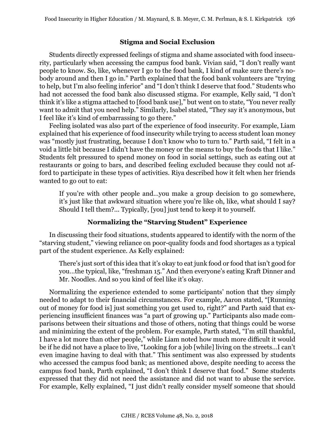## **Stigma and Social Exclusion**

Students directly expressed feelings of stigma and shame associated with food insecurity, particularly when accessing the campus food bank. Vivian said, "I don't really want people to know. So, like, whenever I go to the food bank, I kind of make sure there's nobody around and then I go in." Parth explained that the food bank volunteers are "trying to help, but I'm also feeling inferior" and "I don't think I deserve that food." Students who had not accessed the food bank also discussed stigma. For example, Kelly said, "I don't think it's like a stigma attached to [food bank use]," but went on to state, "You never really want to admit that you need help." Similarly, Isabel stated, "They say it's anonymous, but I feel like it's kind of embarrassing to go there."

Feeling isolated was also part of the experience of food insecurity. For example, Liam explained that his experience of food insecurity while trying to access student loan money was "mostly just frustrating, because I don't know who to turn to." Parth said, "I felt in a void a little bit because I didn't have the money or the means to buy the foods that I like." Students felt pressured to spend money on food in social settings, such as eating out at restaurants or going to bars, and described feeling excluded because they could not afford to participate in these types of activities. Riya described how it felt when her friends wanted to go out to eat:

If you're with other people and…you make a group decision to go somewhere, it's just like that awkward situation where you're like oh, like, what should I say? Should I tell them?... Typically, [you] just tend to keep it to yourself.

# **Normalizing the "Starving Student" Experience**

In discussing their food situations, students appeared to identify with the norm of the "starving student," viewing reliance on poor-quality foods and food shortages as a typical part of the student experience. As Kelly explained:

There's just sort of this idea that it's okay to eat junk food or food that isn't good for you…the typical, like, "freshman 15." And then everyone's eating Kraft Dinner and Mr. Noodles. And so you kind of feel like it's okay.

Normalizing the experience extended to some participants' notion that they simply needed to adapt to their financial circumstances. For example, Aaron stated, "[Running out of money for food is] just something you get used to, right?" and Parth said that experiencing insufficient finances was "a part of growing up." Participants also made comparisons between their situations and those of others, noting that things could be worse and minimizing the extent of the problem. For example, Parth stated, "I'm still thankful, I have a lot more than other people," while Liam noted how much more difficult it would be if he did not have a place to live, "Looking for a job [while] living on the streets…I can't even imagine having to deal with that." This sentiment was also expressed by students who accessed the campus food bank; as mentioned above, despite needing to access the campus food bank, Parth explained, "I don't think I deserve that food." Some students expressed that they did not need the assistance and did not want to abuse the service. For example, Kelly explained, "I just didn't really consider myself someone that should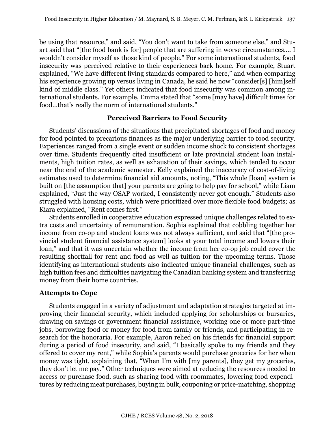be using that resource," and said, "You don't want to take from someone else," and Stuart said that "[the food bank is for] people that are suffering in worse circumstances…. I wouldn't consider myself as those kind of people." For some international students, food insecurity was perceived relative to their experiences back home. For example, Stuart explained, "We have different living standards compared to here," and when comparing his experience growing up versus living in Canada, he said he now "consider[s] [him]self kind of middle class." Yet others indicated that food insecurity was common among international students. For example, Emma stated that "some [may have] difficult times for food…that's really the norm of international students."

#### **Perceived Barriers to Food Security**

Students' discussions of the situations that precipitated shortages of food and money for food pointed to precarious finances as the major underlying barrier to food security. Experiences ranged from a single event or sudden income shock to consistent shortages over time. Students frequently cited insufficient or late provincial student loan instalments, high tuition rates, as well as exhaustion of their savings, which tended to occur near the end of the academic semester. Kelly explained the inaccuracy of cost-of-living estimates used to determine financial aid amounts, noting, "This whole [loan] system is built on [the assumption that] your parents are going to help pay for school," while Liam explained, "Just the way OSAP worked, I consistently never got enough." Students also struggled with housing costs, which were prioritized over more flexible food budgets; as Kiara explained, "Rent comes first."

Students enrolled in cooperative education expressed unique challenges related to extra costs and uncertainty of remuneration. Sophia explained that cobbling together her income from co-op and student loans was not always sufficient, and said that "[the provincial student financial assistance system] looks at your total income and lowers their loan," and that it was uncertain whether the income from her co-op job could cover the resulting shortfall for rent and food as well as tuition for the upcoming terms. Those identifying as international students also indicated unique financial challenges, such as high tuition fees and difficulties navigating the Canadian banking system and transferring money from their home countries.

#### **Attempts to Cope**

Students engaged in a variety of adjustment and adaptation strategies targeted at improving their financial security, which included applying for scholarships or bursaries, drawing on savings or government financial assistance, working one or more part-time jobs, borrowing food or money for food from family or friends, and participating in research for the honoraria. For example, Aaron relied on his friends for financial support during a period of food insecurity, and said, "I basically spoke to my friends and they offered to cover my rent," while Sophia's parents would purchase groceries for her when money was tight, explaining that, "When I'm with [my parents], they get my groceries, they don't let me pay." Other techniques were aimed at reducing the resources needed to access or purchase food, such as sharing food with roommates, lowering food expenditures by reducing meat purchases, buying in bulk, couponing or price-matching, shopping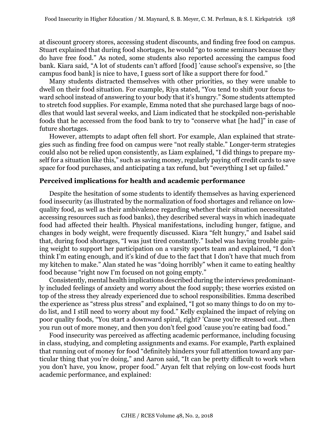at discount grocery stores, accessing student discounts, and finding free food on campus. Stuart explained that during food shortages, he would "go to some seminars because they do have free food." As noted, some students also reported accessing the campus food bank. Kiara said, "A lot of students can't afford [food] 'cause school's expensive, so [the campus food bank] is nice to have, I guess sort of like a support there for food."

Many students distracted themselves with other priorities, so they were unable to dwell on their food situation. For example, Riya stated, "You tend to shift your focus toward school instead of answering to your body that it's hungry." Some students attempted to stretch food supplies. For example, Emma noted that she purchased large bags of noodles that would last several weeks, and Liam indicated that he stockpiled non-perishable foods that he accessed from the food bank to try to "conserve what [he had]" in case of future shortages.

However, attempts to adapt often fell short. For example, Alan explained that strategies such as finding free food on campus were "not really stable." Longer-term strategies could also not be relied upon consistently, as Liam explained, "I did things to prepare myself for a situation like this," such as saving money, regularly paying off credit cards to save space for food purchases, and anticipating a tax refund, but "everything I set up failed."

# **Perceived implications for health and academic performance**

Despite the hesitation of some students to identify themselves as having experienced food insecurity (as illustrated by the normalization of food shortages and reliance on lowquality food, as well as their ambivalence regarding whether their situation necessitated accessing resources such as food banks), they described several ways in which inadequate food had affected their health. Physical manifestations, including hunger, fatigue, and changes in body weight, were frequently discussed. Kiara "felt hungry," and Isabel said that, during food shortages, "I was just tired constantly." Isabel was having trouble gaining weight to support her participation on a varsity sports team and explained, "I don't think I'm eating enough, and it's kind of due to the fact that I don't have that much from my kitchen to make." Alan stated he was "doing horribly" when it came to eating healthy food because "right now I'm focused on not going empty."

Consistently, mental health implications described during the interviews predominantly included feelings of anxiety and worry about the food supply; these worries existed on top of the stress they already experienced due to school responsibilities. Emma described the experience as "stress plus stress" and explained, "I got so many things to do on my todo list, and I still need to worry about my food." Kelly explained the impact of relying on poor quality foods, "You start a downward spiral, right? 'Cause you're stressed out…then you run out of more money, and then you don't feel good 'cause you're eating bad food."

Food insecurity was perceived as affecting academic performance, including focusing in class, studying, and completing assignments and exams. For example, Parth explained that running out of money for food "definitely hinders your full attention toward any particular thing that you're doing," and Aaron said, "It can be pretty difficult to work when you don't have, you know, proper food." Aryan felt that relying on low-cost foods hurt academic performance, and explained: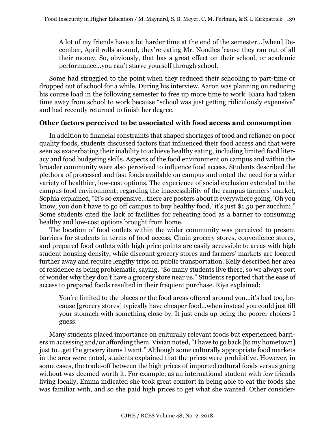A lot of my friends have a lot harder time at the end of the semester…[when] December, April rolls around, they're eating Mr. Noodles 'cause they ran out of all their money. So, obviously, that has a great effect on their school, or academic performance…you can't starve yourself through school.

Some had struggled to the point when they reduced their schooling to part-time or dropped out of school for a while. During his interview, Aaron was planning on reducing his course load in the following semester to free up more time to work. Kiara had taken time away from school to work because "school was just getting ridiculously expensive" and had recently returned to finish her degree.

#### **Other factors perceived to be associated with food access and consumption**

In addition to financial constraints that shaped shortages of food and reliance on poor quality foods, students discussed factors that influenced their food access and that were seen as exacerbating their inability to achieve healthy eating, including limited food literacy and food budgeting skills. Aspects of the food environment on campus and within the broader community were also perceived to influence food access. Students described the plethora of processed and fast foods available on campus and noted the need for a wider variety of healthier, low-cost options. The experience of social exclusion extended to the campus food environment; regarding the inaccessibility of the campus farmers' market, Sophia explained, "It's so expensive…there are posters about it everywhere going, 'Oh you know, you don't have to go off campus to buy healthy food,' it's just \$1.50 per zucchini." Some students cited the lack of facilities for reheating food as a barrier to consuming healthy and low-cost options brought from home.

The location of food outlets within the wider community was perceived to present barriers for students in terms of food access. Chain grocery stores, convenience stores, and prepared food outlets with high price points are easily accessible to areas with high student housing density, while discount grocery stores and farmers' markets are located further away and require lengthy trips on public transportation. Kelly described her area of residence as being problematic, saying, "So many students live there, so we always sort of wonder why they don't have a grocery store near us." Students reported that the ease of access to prepared foods resulted in their frequent purchase. Riya explained:

You're limited to the places or the food areas offered around you…it's bad too, because [grocery stores] typically have cheaper food…when instead you could just fill your stomach with something close by. It just ends up being the poorer choices I guess.

Many students placed importance on culturally relevant foods but experienced barriers in accessing and/or affording them. Vivian noted, "I have to go back [to my hometown] just to…get the grocery items I want." Although some culturally appropriate food markets in the area were noted, students explained that the prices were prohibitive. However, in some cases, the trade-off between the high prices of imported cultural foods versus going without was deemed worth it. For example, as an international student with few friends living locally, Emma indicated she took great comfort in being able to eat the foods she was familiar with, and so she paid high prices to get what she wanted. Other consider-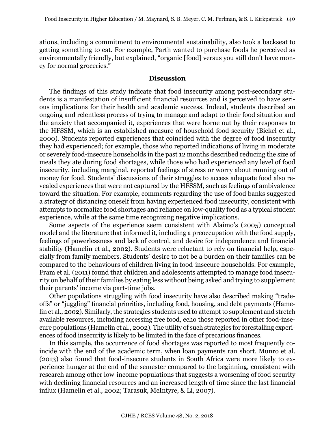ations, including a commitment to environmental sustainability, also took a backseat to getting something to eat. For example, Parth wanted to purchase foods he perceived as environmentally friendly, but explained, "organic [food] versus you still don't have money for normal groceries."

#### **Discussion**

The findings of this study indicate that food insecurity among post-secondary students is a manifestation of insufficient financial resources and is perceived to have serious implications for their health and academic success. Indeed, students described an ongoing and relentless process of trying to manage and adapt to their food situation and the anxiety that accompanied it, experiences that were borne out by their responses to the HFSSM, which is an established measure of household food security (Bickel et al., 2000). Students reported experiences that coincided with the degree of food insecurity they had experienced; for example, those who reported indications of living in moderate or severely food-insecure households in the past 12 months described reducing the size of meals they ate during food shortages, while those who had experienced any level of food insecurity, including marginal, reported feelings of stress or worry about running out of money for food. Students' discussions of their struggles to access adequate food also revealed experiences that were not captured by the HFSSM, such as feelings of ambivalence toward the situation. For example, comments regarding the use of food banks suggested a strategy of distancing oneself from having experienced food insecurity, consistent with attempts to normalize food shortages and reliance on low-quality food as a typical student experience, while at the same time recognizing negative implications.

Some aspects of the experience seem consistent with Alaimo's (2005) conceptual model and the literature that informed it, including a preoccupation with the food supply, feelings of powerlessness and lack of control, and desire for independence and financial stability (Hamelin et al., 2002). Students were reluctant to rely on financial help, especially from family members. Students' desire to not be a burden on their families can be compared to the behaviours of children living in food-insecure households. For example, Fram et al. (2011) found that children and adolescents attempted to manage food insecurity on behalf of their families by eating less without being asked and trying to supplement their parents' income via part-time jobs.

Other populations struggling with food insecurity have also described making "tradeoffs" or "juggling" financial priorities, including food, housing, and debt payments (Hamelin et al., 2002). Similarly, the strategies students used to attempt to supplement and stretch available resources, including accessing free food, echo those reported in other food-insecure populations (Hamelin et al., 2002). The utility of such strategies for forestalling experiences of food insecurity is likely to be limited in the face of precarious finances.

In this sample, the occurrence of food shortages was reported to most frequently coincide with the end of the academic term, when loan payments ran short. Munro et al. (2013) also found that food-insecure students in South Africa were more likely to experience hunger at the end of the semester compared to the beginning, consistent with research among other low-income populations that suggests a worsening of food security with declining financial resources and an increased length of time since the last financial influx (Hamelin et al., 2002; Tarasuk, McIntyre, & Li, 2007).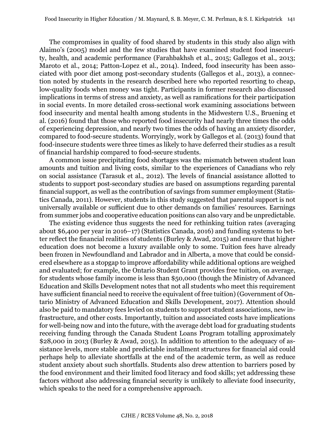The compromises in quality of food shared by students in this study also align with Alaimo's (2005) model and the few studies that have examined student food insecurity, health, and academic performance (Farahbakhsh et al., 2015; Gallegos et al., 2013; Maroto et al., 2014; Patton-Lopez et al., 2014). Indeed, food insecurity has been associated with poor diet among post-secondary students (Gallegos et al., 2013), a connection noted by students in the research described here who reported resorting to cheap, low-quality foods when money was tight. Participants in former research also discussed implications in terms of stress and anxiety, as well as ramifications for their participation in social events. In more detailed cross-sectional work examining associations between food insecurity and mental health among students in the Midwestern U.S., Bruening et al. (2016) found that those who reported food insecurity had nearly three times the odds of experiencing depression, and nearly two times the odds of having an anxiety disorder, compared to food-secure students. Worryingly, work by Gallegos et al. (2013) found that food-insecure students were three times as likely to have deferred their studies as a result of financial hardship compared to food-secure students.

A common issue precipitating food shortages was the mismatch between student loan amounts and tuition and living costs, similar to the experiences of Canadians who rely on social assistance (Tarasuk et al., 2012). The levels of financial assistance allotted to students to support post-secondary studies are based on assumptions regarding parental financial support, as well as the contribution of savings from summer employment (Statistics Canada, 2011). However, students in this study suggested that parental support is not universally available or sufficient due to other demands on families' resources. Earnings from summer jobs and cooperative education positions can also vary and be unpredictable.

The existing evidence thus suggests the need for rethinking tuition rates (averaging about \$6,400 per year in 2016–17) (Statistics Canada, 2016) and funding systems to better reflect the financial realities of students (Burley & Awad, 2015) and ensure that higher education does not become a luxury available only to some. Tuition fees have already been frozen in Newfoundland and Labrador and in Alberta, a move that could be considered elsewhere as a stopgap to improve affordability while additional options are weighed and evaluated; for example, the Ontario Student Grant provides free tuition, on average, for students whose family income is less than \$50,000 (though the Ministry of Advanced Education and Skills Development notes that not all students who meet this requirement have sufficient financial need to receive the equivalent of free tuition) (Government of Ontario Ministry of Advanced Education and Skills Development, 2017). Attention should also be paid to mandatory fees levied on students to support student associations, new infrastructure, and other costs. Importantly, tuition and associated costs have implications for well-being now and into the future, with the average debt load for graduating students receiving funding through the Canada Student Loans Program totalling approximately \$28,000 in 2013 (Burley & Awad, 2015). In addition to attention to the adequacy of assistance levels, more stable and predictable installment structures for financial aid could perhaps help to alleviate shortfalls at the end of the academic term, as well as reduce student anxiety about such shortfalls. Students also drew attention to barriers posed by the food environment and their limited food literacy and food skills; yet addressing these factors without also addressing financial security is unlikely to alleviate food insecurity, which speaks to the need for a comprehensive approach.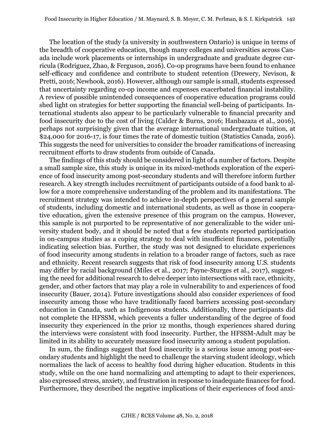The location of the study (a university in southwestern Ontario) is unique in terms of the breadth of cooperative education, though many colleges and universities across Canada include work placements or internships in undergraduate and graduate degree curricula (Rodriguez, Zhao, & Ferguson, 2016). Co-op programs have been found to enhance self-efficacy and confidence and contribute to student retention (Drewery, Nevison, & Pretti, 2016; Newhook, 2016). However, although our sample is small, students expressed that uncertainty regarding co-op income and expenses exacerbated financial instability. A review of possible unintended consequences of cooperative education programs could shed light on strategies for better supporting the financial well-being of participants. International students also appear to be particularly vulnerable to financial precarity and food insecurity due to the cost of living (Calder & Burns, 2016; Hanbazaza et al., 2016), perhaps not surprisingly given that the average international undergraduate tuition, at \$24,000 for 2016-17, is four times the rate of domestic tuition (Statistics Canada, 2016). This suggests the need for universities to consider the broader ramifications of increasing recruitment efforts to draw students from outside of Canada.

The findings of this study should be considered in light of a number of factors. Despite a small sample size, this study is unique in its mixed-methods exploration of the experience of food insecurity among post-secondary students and will therefore inform further research. A key strength includes recruitment of participants outside of a food bank to allow for a more comprehensive understanding of the problem and its manifestations. The recruitment strategy was intended to achieve in-depth perspectives of a general sample of students, including domestic and international students, as well as those in cooperative education, given the extensive presence of this program on the campus. However, this sample is not purported to be representative of nor generalizable to the wider university student body, and it should be noted that a few students reported participation in on-campus studies as a coping strategy to deal with insufficient finances, potentially indicating selection bias. Further, the study was not designed to elucidate experiences of food insecurity among students in relation to a broader range of factors, such as race and ethnicity. Recent research suggests that risk of food insecurity among U.S. students may differ by racial background (Miles et al., 2017; Payne-Sturges et al., 2017), suggesting the need for additional research to delve deeper into intersections with race, ethnicity, gender, and other factors that may play a role in vulnerability to and experiences of food insecurity (Bauer, 2014). Future investigations should also consider experiences of food insecurity among those who have traditionally faced barriers accessing post-secondary education in Canada, such as Indigenous students. Additionally, three participants did not complete the HFSSM, which prevents a fuller understanding of the degree of food insecurity they experienced in the prior 12 months, though experiences shared during the interviews were consistent with food insecurity. Further, the HFSSM-Adult may be limited in its ability to accurately measure food insecurity among a student population.

In sum, the findings suggest that food insecurity is a serious issue among post-secondary students and highlight the need to challenge the starving student ideology, which normalizes the lack of access to healthy food during higher education. Students in this study, while on the one hand normalizing and attempting to adapt to their experiences, also expressed stress, anxiety, and frustration in response to inadequate finances for food. Furthermore, they described the negative implications of their experiences of food anxi-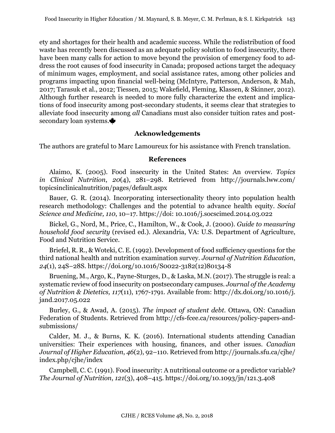ety and shortages for their health and academic success. While the redistribution of food waste has recently been discussed as an adequate policy solution to food insecurity, there have been many calls for action to move beyond the provision of emergency food to address the root causes of food insecurity in Canada; proposed actions target the adequacy of minimum wages, employment, and social assistance rates, among other policies and programs impacting upon financial well-being (McIntyre, Patterson, Anderson, & Mah, 2017; Tarasuk et al., 2012; Tiessen, 2015; Wakefield, Fleming, Klassen, & Skinner, 2012). Although further research is needed to more fully characterize the extent and implications of food insecurity among post-secondary students, it seems clear that strategies to alleviate food insecurity among *all* Canadians must also consider tuition rates and postsecondary loan systems.

# **Acknowledgements**

The authors are grateful to Marc Lamoureux for his assistance with French translation.

#### **References**

Alaimo, K. (2005). Food insecurity in the United States: An overview. *Topics in Clinical Nutrition*, *20*(4), 281–298. Retrieved from http://journals.lww.com/ topicsinclinicalnutrition/pages/default.aspx

Bauer, G. R. (2014). Incorporating intersectionality theory into population health research methodology: Challenges and the potential to advance health equity. *Social Science and Medicine, 110*, 10–17. https://doi: 10.1016/j.socscimed.2014.03.022

Bickel, G., Nord, M., Price, C., Hamilton, W., & Cook, J. (2000). *Guide to measuring household food security* (revised ed.). Alexandria, VA: U.S. Department of Agriculture, Food and Nutrition Service.

Briefel, R. R., & Woteki, C. E. (1992). Development of food sufficiency questions for the third national health and nutrition examination survey. *Journal of Nutrition Education*, *24*(1), 24S–28S. [https://doi.org/10.1016/S0022-3182\(12\)80134-8](https://doi.org/10.1016/S0022-3182(12)80134-8)

Bruening, M., Argo, K., Payne-Sturges, D., & Laska, M.N. (2017). The struggle is real: a systematic review of food insecurity on postsecondary campuses. *Journal of the Academy of Nutrition & Dietetics, 117*(11), 1767-1791. Available from: http://dx.doi.org/10.1016/j. jand.2017.05.022

Burley, G., & Awad, A. (2015). *The impact of student debt*. Ottawa, ON: Canadian Federation of Students. Retrieved from http://cfs-fcee.ca/resources/policy-papers-andsubmissions/

Calder, M. J., & Burns, K. K. (2016). International students attending Canadian universities: Their experiences with housing, finances, and other issues. *Canadian Journal of Higher Education*, *46*(2), 92–110. Retrieved from http://journals.sfu.ca/cjhe/ index.php/cjhe/index

Campbell, C. C. (1991). Food insecurity: A nutritional outcome or a predictor variable? *The Journal of Nutrition*, *121*(3), 408–415.<https://doi.org/10.1093/jn/121.3.408>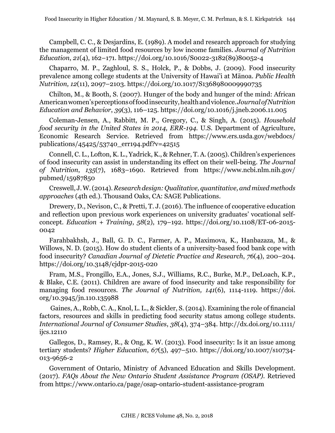Campbell, C. C., & Desjardins, E. (1989). A model and research approach for studying the management of limited food resources by low income families. *Journal of Nutrition Education*, *21*(4), 162–171. https://doi.org/10.1016/S0022-3182(89)80052-4

Chaparro, M. P., Zaghloul, S. S., Holck, P., & Dobbs, J. (2009). Food insecurity prevalence among college students at the University of Hawai'i at Mānoa. *Public Health Nutrition, 12*(11), 2097–2103. https://doi.org/10.1017/S1368980009990735

Chilton, M., & Booth, S. (2007). Hunger of the body and hunger of the mind: African American women's perceptions of food insecurity, health and violence. *Journal of Nutrition Education and Behavior*, *39*(3), 116–125. https://doi.org/10.1016/j.jneb.2006.11.005

Coleman-Jensen, A., Rabbitt, M. P., Gregory, C., & Singh, A. (2015). *Household food security in the United States in 2014, ERR-194.* U.S. Department of Agriculture, Economic Research Service. Retrieved from https://www.ers.usda.gov/webdocs/ publications/45425/53740\_err194.pdf?v=42515

Connell, C. L., Lofton, K. L., Yadrick, K., & Rehner, T. A. (2005). Children's experiences of food insecurity can assist in understanding its effect on their well-being. *The Journal of Nutrition*, *135*(7), 1683–1690. Retrieved from https://www.ncbi.nlm.nih.gov/ pubmed/15987850

Creswell, J. W. (2014). *Research design: Qualitative, quantitative, and mixed methods approaches* (4th ed.). Thousand Oaks, CA: SAGE Publications.

Drewery, D., Nevison, C., & Pretti, T. J. (2016). The influence of cooperative education and reflection upon previous work experiences on university graduates' vocational selfconcept. *Education + Training*, *58*(2), 179–192. https://doi.org/10.1108/ET-06-2015- 0042

Farahbakhsh, J., Ball, G. D. C., Farmer, A. P., Maximova, K., Hanbazaza, M., & Willows, N. D. (2015). How do student clients of a university-based food bank cope with food insecurity? *Canadian Journal of Dietetic Practice and Research*, *76*(4), 200–204. <https://doi.org/10.3148/cjdpr-2015-020>

Fram, M.S., Frongillo, E.A., Jones, S.J., Williams, R.C., Burke, M.P., DeLoach, K.P., & Blake, C.E. (2011). Children are aware of food insecurity and take responsibility for managing food resources. *The Journal of Nutrition, 141*(6), 1114-1119. [https://doi.](https://doi.org/10.3945/jn.110.135988) [org/10.3945/jn.110.135988](https://doi.org/10.3945/jn.110.135988)

 Gaines, A., Robb, C. A., Knol, L. L., & Sickler, S. (2014). Examining the role of financial factors, resources and skills in predicting food security status among college students. *International Journal of Consumer Studies*, *38*(4), 374–384. http://dx.doi.org/10.1111/ ijcs.12110

Gallegos, D., Ramsey, R., & Ong, K. W. (2013). Food insecurity: Is it an issue among tertiary students? *Higher Education*, *67*(5), 497–510. https://doi.org/10.1007/s10734- 013-9656-2

Government of Ontario, Ministry of Advanced Education and Skills Development. (2017). *FAQs About the New Ontario Student Assistance Program (OSAP)*. Retrieved from https://www.ontario.ca/page/osap-ontario-student-assistance-program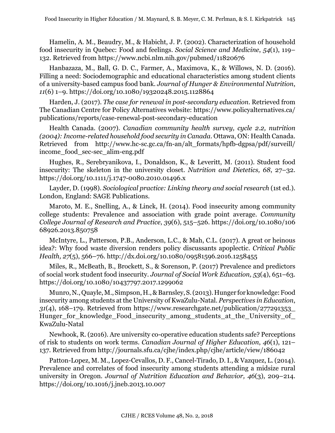Hamelin, A. M., Beaudry, M., & Habicht, J. P. (2002). Characterization of household food insecurity in Quebec: Food and feelings. *Social Science and Medicine*, *54*(1), 119– 132. Retrieved from https://www.ncbi.nlm.nih.gov/pubmed/11820676

Hanbazaza, M., Ball, G. D. C., Farmer, A., Maximova, K., & Willows, N. D. (2016). Filling a need: Sociodemographic and educational characteristics among student clients of a university-based campus food bank. *Journal of Hunger & Environmental Nutrition*, *11*(6) 1–9. <https://doi.org/10.1080/19320248.2015.1128864>

Harden, J. (2017). *The case for renewal in post-secondary education.* Retrieved from The Canadian Centre for Policy Alternatives website: [https://www.policyalternatives.ca/](https://www.policyalternatives.ca/publications/reports/case-renewal-post-secondary-education) [publications/reports/case-renewal-post-secondary-education](https://www.policyalternatives.ca/publications/reports/case-renewal-post-secondary-education)

Health Canada. (2007). *Canadian community health survey, cycle 2.2, nutrition (2004): Income-related household food security in Canada*. Ottawa, ON: Health Canada. Retrieved from [http://www.hc-sc.gc.ca/fn-an/alt\\_formats/hpfb-dgpsa/pdf/surveill/](http://www.hc-sc.gc.ca/fn-an/alt_formats/hpfb-dgpsa/pdf/surveill/income_food_sec-sec_alim-eng.pdf) [income\\_food\\_sec-sec\\_alim-eng.pdf](http://www.hc-sc.gc.ca/fn-an/alt_formats/hpfb-dgpsa/pdf/surveill/income_food_sec-sec_alim-eng.pdf)

Hughes, R., Serebryanikova, I., Donaldson, K., & Leveritt, M. (2011). Student food insecurity: The skeleton in the university closet. *Nutrition and Dietetics, 68*, 27–32. https://doi.org/10.1111/j.1747-0080.2010.01496.x

Layder, D. (1998). *Sociological practice: Linking theory and social research* (1st ed.). London, England: SAGE Publications.

Maroto, M. E., Snelling, A., & Linck, H. (2014). Food insecurity among community college students: Prevalence and association with grade point average. *Community College Journal of Research and Practice*, *39*(6), 515–526. [https://doi.org/10.1080/106](https://doi.org/10.1080/10668926.2013.850758) [68926.2013.850758](https://doi.org/10.1080/10668926.2013.850758)

McIntyre, L., Patterson, P.B., Anderson, L.C., & Mah, C.L. (2017). A great or heinous idea?: Why food waste diversion renders policy discussants apoplectic. *Critical Public Health, 27*(5), 566–76. http://dx.doi.org/10.1080/09581596.2016.1258455

Miles, R., McBeath, B., Brockett, S., & Sorenson, P. (2017) Prevalence and predictors of social work student food insecurity. *Journal of Social Work Education, 53*(4), 651–63. https://doi.org/10.1080/10437797.2017.1299062

Munro, N., Quayle, M., Simpson, H., & Barnsley, S. (2013). Hunger for knowledge: Food insecurity among students at the University of KwaZulu-Natal. *Perspectives in Education*, *31*(4), 168–179. Retrieved from https://www.researchgate.net/publication/277291353\_ Hunger for knowledge Food insecurity among students at the University of KwaZulu-Natal

Newhook, R. (2016). Are university co-operative education students safe? Perceptions of risk to students on work terms. *Canadian Journal of Higher Education*, *46*(1), 121– 137. Retrieved from http://journals.sfu.ca/cjhe/index.php/cjhe/article/view/186042

Patton-Lopez, M. M., Lopez-Cevallos, D. F., Cancel-Tirado, D. I., & Vazquez, L. (2014). Prevalence and correlates of food insecurity among students attending a midsize rural university in Oregon. *Journal of Nutrition Education and Behavior, 46*(3), 209–214. https://doi.org/10.1016/j.jneb.2013.10.007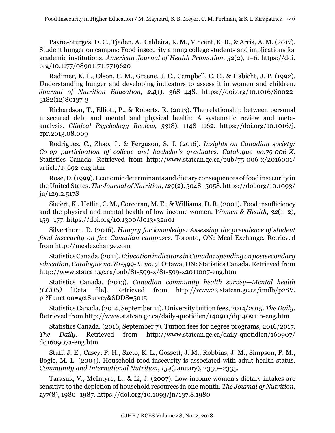Payne-Sturges, D. C., Tjaden, A., Caldeira, K. M., Vincent, K. B., & Arria, A. M. (2017). Student hunger on campus: Food insecurity among college students and implications for academic institutions. *American Journal of Health Promotion, 32*(2), 1–6. https://doi. org/10.1177/0890117117719620

Radimer, K. L., Olson, C. M., Greene, J. C., Campbell, C. C., & Habicht, J. P. (1992). Understanding hunger and developing indicators to assess it in women and children. *Journal of Nutrition Education*, *24*(1), 36S–44S. https://doi.org/10.1016/S0022- 3182(12)80137-3

Richardson, T., Elliott, P., & Roberts, R. (2013). The relationship between personal unsecured debt and mental and physical health: A systematic review and metaanalysis. *Clinical Psychology Review*, *33*(8), 1148–1162. https://doi.org/10.1016/j. cpr.2013.08.009

Rodriguez, C., Zhao, J., & Ferguson, S. J. (2016). *Insights on Canadian society: Co-op participation of college and bachelor's graduates, Catalogue no.75-006-X*. Statistics Canada. Retrieved from http://www.statcan.gc.ca/pub/75-006-x/2016001/ article/14692-eng.htm

Rose, D. (1999). Economic determinants and dietary consequences of food insecurity in the United States. *The Journal of Nutrition, 129*(2), 504S–505S. https://doi.org/10.1093/ jn/129.2.517S

Siefert, K., Heflin, C. M., Corcoran, M. E., & Williams, D. R. (2001). Food insufficiency and the physical and mental health of low-income women. *Women & Health*, *32*(1–2), 159–177. https://doi.org/10.1300/J013v32n01

Silverthorn, D. (2016). *Hungry for knowledge: Assessing the prevalence of student food insecurity on five Canadian campuses*. Toronto, ON: Meal Exchange. Retrieved from http://mealexchange.com

Statistics Canada. (2011). *Education indicators in Canada: Spending on postsecondary education, Catalogue no. 81-599-X, no. 7*. Ottawa, ON: Statistics Canada. Retrieved from http://www.statcan.gc.ca/pub/81-599-x/81-599-x2011007-eng.htm

Statistics Canada. (2013). *Canadian community health survey—Mental health (CCHS)* [Data file]*.* Retrieved from http://www23.statcan.gc.ca/imdb/p2SV. pl?Function=getSurvey&SDDS=5015

Statistics Canada. (2014, September 11). University tuition fees, 2014/2015. *The Daily*. Retrieved from http://www.statcan.gc.ca/daily-quotidien/140911/dq140911b-eng.htm

Statistics Canada. (2016, September 7). Tuition fees for degree programs, 2016/2017. *The Daily*. Retrieved from http://www.statcan.gc.ca/daily-quotidien/160907/ dq160907a-eng.htm

Stuff, J. E., Casey, P. H., Szeto, K. L., Gossett, J. M., Robbins, J. M., Simpson, P. M., Bogle, M. L. (2004). Household food insecurity is associated with adult health status. *Community and International Nutrition*, *134*(January), 2330–2335.

Tarasuk, V., McIntyre, L., & Li, J. (2007). Low-income women's dietary intakes are sensitive to the depletion of household resources in one month. *The Journal of Nutrition*, *137*(8), 1980–1987.<https://doi.org/10.1093/jn/137.8.1980>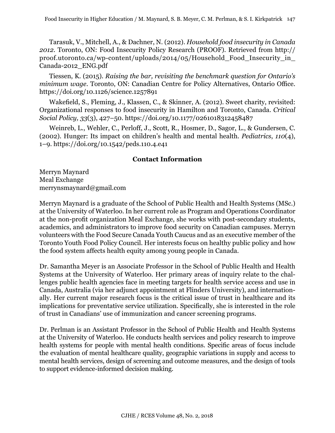Tarasuk, V., Mitchell, A., & Dachner, N. (2012). *Household food insecurity in Canada 2012*. Toronto, ON: Food Insecurity Policy Research (PROOF). Retrieved from http:// proof.utoronto.ca/wp-content/uploads/2014/05/Household\_Food\_Insecurity\_in\_ Canada-2012\_ENG.pdf

Tiessen, K. (2015). *Raising the bar, revisiting the benchmark question for Ontario's minimum wage*. Toronto, ON: Canadian Centre for Policy Alternatives, Ontario Office. <https://doi.org/10.1126/science.1257891>

Wakefield, S., Fleming, J., Klassen, C., & Skinner, A. (2012). Sweet charity, revisited: Organizational responses to food insecurity in Hamilton and Toronto, Canada. *Critical Social Policy, 33*(3), 427–50. https://doi.org/10.1177/0261018312458487

Weinreb, L., Wehler, C., Perloff, J., Scott, R., Hosmer, D., Sagor, L., & Gundersen, C. (2002). Hunger: Its impact on children's health and mental health. *Pediatrics*, *110*(4), 1–9. https://doi.org/10.1542/peds.110.4.e41

# **Contact Information**

Merryn Maynard Meal Exchange merrynsmaynard@gmail.com

Merryn Maynard is a graduate of the School of Public Health and Health Systems (MSc.) at the University of Waterloo. In her current role as Program and Operations Coordinator at the non-profit organization Meal Exchange, she works with post-secondary students, academics, and administrators to improve food security on Canadian campuses. Merryn volunteers with the Food Secure Canada Youth Caucus and as an executive member of the Toronto Youth Food Policy Council. Her interests focus on healthy public policy and how the food system affects health equity among young people in Canada.

Dr. Samantha Meyer is an Associate Professor in the School of Public Health and Health Systems at the University of Waterloo. Her primary areas of inquiry relate to the challenges public health agencies face in meeting targets for health service access and use in Canada, Australia (via her adjunct appointment at Flinders University), and internationally. Her current major research focus is the critical issue of trust in healthcare and its implications for preventative service utilization. Specifically, she is interested in the role of trust in Canadians' use of immunization and cancer screening programs.

Dr. Perlman is an Assistant Professor in the School of Public Health and Health Systems at the University of Waterloo. He conducts health services and policy research to improve health systems for people with mental health conditions. Specific areas of focus include the evaluation of mental healthcare quality, geographic variations in supply and access to mental health services, design of screening and outcome measures, and the design of tools to support evidence-informed decision making.